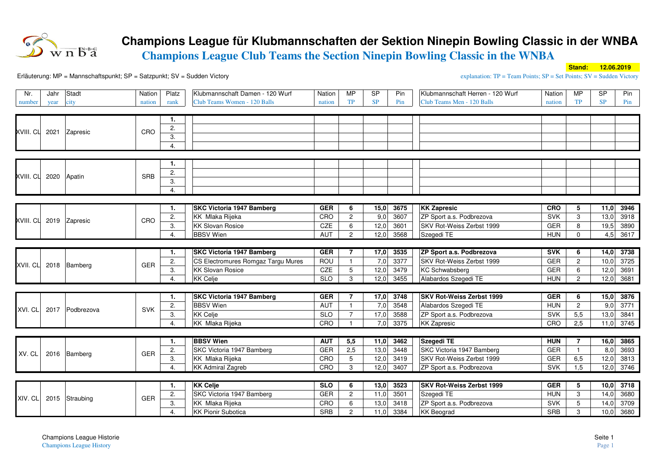

## **Champions League für Klubmannschaften der Sektion Ninepin Bowling Classic in der WNBA**

**Champions League Club Teams the Section Ninepin Bowling Classic in the WNBA** 

**Stand: 12.06.2019**

Erläuterung: MP = Mannschaftspunkt; SP = Satzpunkt; SV = Sudden Victory

**explanation:**  $TP = Team$  Points;  $SP = Set$  Points;  $SV = S$ udden Victory

| Nr.            | Jahr | Stadt                   | Nation     | Platz | Klubmannschaft Damen - 120 Wurf    | Nation     | <b>MP</b>       | <b>SP</b> | Pin  | Klubmannschaft Herren - 120 Wurf | Nation     | <b>MP</b>      | <b>SP</b> | Pin  |
|----------------|------|-------------------------|------------|-------|------------------------------------|------------|-----------------|-----------|------|----------------------------------|------------|----------------|-----------|------|
| number         | year | city                    | nation     | rank  | Club Teams Women - 120 Balls       | nation     | <b>TP</b>       | SP        | Pin  | Club Teams Men - 120 Balls       | nation     | TP             | <b>SP</b> | Pin  |
|                |      |                         |            |       |                                    |            |                 |           |      |                                  |            |                |           |      |
|                |      |                         |            | 1.    |                                    |            |                 |           |      |                                  |            |                |           |      |
|                |      | XVIII. CL 2021 Zapresic | CRO        | 2.    |                                    |            |                 |           |      |                                  |            |                |           |      |
|                |      |                         |            | 3.    |                                    |            |                 |           |      |                                  |            |                |           |      |
|                |      |                         |            | 4.    |                                    |            |                 |           |      |                                  |            |                |           |      |
|                |      |                         |            |       |                                    |            |                 |           |      |                                  |            |                |           |      |
|                |      |                         |            | 1.    |                                    |            |                 |           |      |                                  |            |                |           |      |
| XVIII. CL 2020 |      | Apatin                  | <b>SRB</b> | 2.    |                                    |            |                 |           |      |                                  |            |                |           |      |
|                |      |                         |            | 3.    |                                    |            |                 |           |      |                                  |            |                |           |      |
|                |      |                         |            | 4.    |                                    |            |                 |           |      |                                  |            |                |           |      |
|                |      |                         |            |       |                                    |            |                 |           |      |                                  |            |                |           |      |
|                |      |                         |            | 1.    | <b>SKC Victoria 1947 Bamberg</b>   | <b>GER</b> | 6               | 15,0      | 3675 | <b>KK Zapresic</b>               | <b>CRO</b> | 5              | 11,0      | 3946 |
|                |      | XVIII. CL 2019 Zapresic | CRO        | 2.    | KK Mlaka Rijeka                    | CRO        | $\overline{2}$  | 9,0       | 3607 | ZP Sport a.s. Podbrezova         | <b>SVK</b> | 3              | 13,0      | 3918 |
|                |      |                         |            | 3.    | <b>KK Slovan Rosice</b>            | CZE        | 6               | 12,0      | 3601 | SKV Rot-Weiss Zerbst 1999        | <b>GER</b> | 8              | 19,5      | 3890 |
|                |      |                         |            | 4.    | <b>BBSV</b> Wien                   | <b>AUT</b> | $\overline{2}$  | 12,0      | 3568 | Szegedi TE                       | <b>HUN</b> | $\Omega$       | 4,5       | 3617 |
|                |      |                         |            |       |                                    |            |                 |           |      |                                  |            |                |           |      |
|                |      |                         |            | 1.    | <b>SKC Victoria 1947 Bamberg</b>   | <b>GER</b> | $\overline{7}$  | 17,0      | 3535 | ZP Sport a.s. Podbrezova         | <b>SVK</b> | 6              | 14,0      | 3738 |
|                |      | XVII. CL 2018 Bamberg   | <b>GER</b> | 2.    | CS Electromures Romgaz Targu Mures | ROU        | $\mathbf{1}$    | 7,0       | 3377 | SKV Rot-Weiss Zerbst 1999        | GER        | 2              | 10,0      | 3725 |
|                |      |                         |            | 3.    | <b>KK Slovan Rosice</b>            | CZE        | $5\phantom{.0}$ | 12,0      | 3479 | KC Schwabsberg                   | GER        | 6              | 12,0      | 3691 |
|                |      |                         |            | 4.    | <b>KK Celje</b>                    | <b>SLO</b> | 3               | 12,0      | 3455 | Alabardos Szegedi TE             | <b>HUN</b> | $\overline{2}$ | 12,0      | 3681 |
|                |      |                         |            |       |                                    |            |                 |           |      |                                  |            |                |           |      |
|                |      |                         |            | 1.    | <b>SKC Victoria 1947 Bamberg</b>   | <b>GER</b> | $\overline{7}$  | 17,0      | 3748 | <b>SKV Rot-Weiss Zerbst 1999</b> | <b>GER</b> | 6              | 15,0      | 3876 |
| XVI. CL        |      | 2017 Podbrezova         | <b>SVK</b> | 2.    | <b>BBSV</b> Wien                   | <b>AUT</b> | $\mathbf{1}$    | 7,0       | 3548 | Alabardos Szegedi TE             | <b>HUN</b> | $\overline{c}$ | 9,0       | 3771 |
|                |      |                         |            | 3.    | <b>KK Celje</b>                    | <b>SLO</b> | $\overline{7}$  | 17,0      | 3588 | ZP Sport a.s. Podbrezova         | <b>SVK</b> | 5,5            | 13,0      | 3841 |
|                |      |                         |            | 4.    | KK Mlaka Rijeka                    | CRO        | $\overline{1}$  | 7,0       | 3375 | <b>KK Zapresic</b>               | CRO        | 2,5            | 11,0      | 3745 |
|                |      |                         |            |       |                                    |            |                 |           |      |                                  |            |                |           |      |
|                |      |                         |            | 1.    | <b>BBSV Wien</b>                   | <b>AUT</b> | 5,5             | 11,0      | 3462 | Szegedi TE                       | <b>HUN</b> | 7              | 16,0      | 3865 |
| XV. CL         |      | 2016 Bamberg            | <b>GER</b> | 2.    | SKC Victoria 1947 Bamberg          | <b>GER</b> | 2,5             | 13,0      | 3448 | SKC Victoria 1947 Bamberg        | GER        |                | 8,0       | 3693 |
|                |      |                         |            | 3.    | KK Mlaka Rijeka                    | CRO        | $5\phantom{.0}$ | 12,0      | 3419 | SKV Rot-Weiss Zerbst 1999        | GER        | 6,5            | 12,0      | 3813 |
|                |      |                         |            | 4.    | <b>KK Admiral Zagreb</b>           | CRO        | 3               | 12,0      | 3407 | ZP Sport a.s. Podbrezova         | SVK        | 1,5            | 12,0      | 3746 |
|                |      |                         |            |       |                                    |            |                 |           |      |                                  |            |                |           |      |
|                |      | 2015 Straubing          |            | 1.    | <b>KK Celje</b>                    | <b>SLO</b> | 6               | 13,0      | 3523 | <b>SKV Rot-Weiss Zerbst 1999</b> | <b>GER</b> | 5              | 10,0      | 3718 |
| XIV. CL        |      |                         | <b>GER</b> | 2.    | SKC Victoria 1947 Bamberg          | <b>GER</b> | $\overline{2}$  | 11,0      | 3501 | Szegedi TE                       | <b>HUN</b> | 3              | 14,0      | 3680 |
|                |      |                         |            | 3.    | <b>KK</b> Mlaka Rijeka             | CRO        | 6               | 13,0      | 3418 | ZP Sport a.s. Podbrezova         | <b>SVK</b> | 5              | 14,0      | 3709 |
|                |      |                         |            | 4.    | <b>KK Pionir Subotica</b>          | <b>SRB</b> | $\overline{c}$  | 11,0      | 3384 | <b>KK</b> Beograd                | SRB        | 3              | 10,0      | 3680 |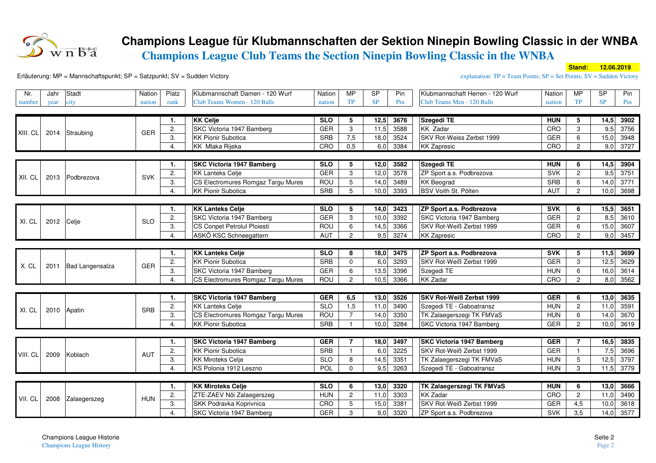

## **Champions League für Klubmannschaften der Sektion Ninepin Bowling Classic in der WNBA**

**Champions League Club Teams the Section Ninepin Bowling Classic in the WNBA** 

**Stand: 12.06.2019**

Erläuterung: MP = Mannschaftspunkt; SP = Satzpunkt; SV = Sudden Victory

**explanation:**  $TP = Team$  Points;  $SP = Set$  Points;  $SV = S$ udden Victory

| Nr.      | Jahr | Stadt           | Nation     | Platz | Klubmannschaft Damen - 120 Wurf    | Nation     | <b>MP</b>       | S <sub>P</sub> | Pin  | Klubmannschaft Herren - 120 Wurf | Nation     | MP             | S <sub>P</sub> | Pin  |
|----------|------|-----------------|------------|-------|------------------------------------|------------|-----------------|----------------|------|----------------------------------|------------|----------------|----------------|------|
| number   | year | city            | nation     | rank  | Club Teams Women - 120 Balls       | nation     | <b>TP</b>       | SP             | Pin  | Club Teams Men - 120 Balls       | nation     | TP             | <b>SP</b>      | Pin  |
|          |      |                 |            |       |                                    |            |                 |                |      |                                  |            |                |                |      |
|          |      |                 |            | 1.    | <b>KK Celje</b>                    | <b>SLO</b> | 5               | 12,5           | 3676 | <b>Szegedi TE</b>                | <b>HUN</b> | 5              | 14,5           | 3902 |
| XIII. CL | 2014 | Straubing       | <b>GER</b> | 2.    | SKC Victoria 1947 Bamberg          | GER        | 3               | 11,5           | 3588 | KK Zadar                         | CRO        | 3              | 9,5            | 3756 |
|          |      |                 |            | 3.    | <b>KK Pionir Subotica</b>          | SRB        | 7,5             | 18,0           | 3524 | SKV Rot-Weiss Zerbst 1999        | GER        | 6              | 15,0           | 3948 |
|          |      |                 |            | 4.    | <b>KK Mlaka Rijeka</b>             | CRO        | 0,5             | 6,0            | 3384 | <b>KK Zapresic</b>               | CRO        | $\overline{2}$ | 9,0            | 3727 |
|          |      |                 |            |       |                                    |            |                 |                |      |                                  |            |                |                |      |
|          |      |                 |            | 1.    | <b>SKC Victoria 1947 Bamberg</b>   | <b>SLO</b> | 5               | 12,0           | 3582 | <b>Szegedi TE</b>                | <b>HUN</b> | 6              | 14,5           | 3904 |
| XII. CL  | 2013 | Podbrezova      | <b>SVK</b> | 2.    | <b>KK Lanteks Celje</b>            | GER        | 3               | 12,0           | 3578 | ZP Sport a.s. Podbrezova         | SVK        | $\overline{c}$ | 9,5            | 3751 |
|          |      |                 |            | 3.    | CS Electromures Romgaz Targu Mures | <b>ROU</b> | $5\overline{)}$ | 14,0           | 3489 | <b>KK Beograd</b>                | SRB        | 6              | 14,0           | 3771 |
|          |      |                 |            | 4.    | <b>KK Pionir Subotica</b>          | <b>SRB</b> | 5               | 10,0           | 3393 | BSV Voith St. Pölten             | <b>AUT</b> | $\overline{2}$ | 10,0           | 3698 |
|          |      |                 |            |       |                                    |            |                 |                |      |                                  |            |                |                |      |
|          |      |                 |            | 1.    | <b>KK Lanteks Celje</b>            | <b>SLO</b> | 5               | 14,0           | 3423 | ZP Sport a.s. Podbrezova         | <b>SVK</b> | 6              | 15,5           | 3651 |
| XI. CL   | 2012 | Celje           | <b>SLO</b> | 2.    | SKC Victoria 1947 Bamberg          | GER        | 3               | 10,0           | 3392 | SKC Victoria 1947 Bamberg        | GER        | $\overline{c}$ | 8,5            | 3610 |
|          |      |                 |            | 3.    | CS Conpet Petrolul Ploiesti        | <b>ROU</b> | 6               | 14,5           | 3366 | SKV Rot-Weiß Zerbst 1999         | GER        | 6              | 15,0           | 3607 |
|          |      |                 |            | 4.    | ASKÖ KSC Schneegattern             | AUT        | $\overline{2}$  | 9,5            | 3274 | <b>KK Zapresic</b>               | CRO        | $\overline{c}$ | 9,0            | 3457 |
|          |      |                 |            |       |                                    |            |                 |                |      |                                  |            |                |                |      |
|          |      |                 |            | 1.    | <b>KK Lanteks Celje</b>            | <b>SLO</b> | 8               | 18,0           | 3475 | ZP Sport a.s. Podbrezova         | <b>SVK</b> | 5              | 11,5           | 3699 |
| X. CL    | 2011 | Bad Langensalza | GER        | 2.    | <b>KK Pionir Subotica</b>          | SRB        | $\mathbf 0$     | 6,0            | 3293 | SKV Rot-Weiß Zerbst 1999         | <b>GER</b> | 3              | 12,5           | 3629 |
|          |      |                 |            | 3.    | SKC Victoria 1947 Bamberg          | GER        | 6               | 13,5           | 3396 | Szegedi TE                       | <b>HUN</b> | 6              | 16,0           | 3614 |
|          |      |                 |            | 4.    | CS Electromures Romgaz Targu Mures | <b>ROU</b> | $\overline{2}$  | 10,5           | 3366 | <b>KK Zadar</b>                  | CRO        | $\overline{c}$ | 8,0            | 3562 |
|          |      |                 |            |       |                                    |            |                 |                |      |                                  |            |                |                |      |
|          |      |                 |            | 1.    | <b>SKC Victoria 1947 Bamberg</b>   | <b>GER</b> | 6,5             | 13,0           | 3526 | SKV Rot-Weiß Zerbst 1999         | <b>GER</b> | 6              | 13,0           | 3635 |
| XI. CL   | 2010 | Apatin          | SRB        | 2.    | <b>KK Lanteks Celje</b>            | <b>SLO</b> | 1,5             | 11,0           | 3490 | Szegedi TE - Gaboatransz         | <b>HUN</b> | $\mathbf{2}$   | 11,0           | 3591 |
|          |      |                 |            | 3.    | CS Electromures Romgaz Targu Mures | <b>ROU</b> | $\overline{7}$  | 14,0           | 3350 | TK Zalaegerszegi TK FMVaS        | <b>HUN</b> | 6              | 14,0           | 3670 |
|          |      |                 |            | 4.    | <b>KK Pionir Subotica</b>          | SRB        | $\overline{1}$  | 10,0           | 3284 | SKC Victoria 1947 Bamberg        | GER        | 2              | 10,0           | 3619 |
|          |      |                 |            |       |                                    |            |                 |                |      |                                  |            |                |                |      |
|          |      |                 |            | 1.    | <b>SKC Victoria 1947 Bamberg</b>   | <b>GER</b> | $\overline{7}$  | 18,0           | 3497 | <b>SKC Victoria 1947 Bamberg</b> | <b>GER</b> |                | 16,5           | 3835 |
| VIII. CL | 2009 | Koblach         | AUT        | 2.    | <b>KK Pionir Subotica</b>          | SRB        | $\mathbf{1}$    | 6,0            | 3225 | SKV Rot-Weiß Zerbst 1999         | <b>GER</b> |                | 7,5            | 3696 |
|          |      |                 |            | 3.    | <b>KK Miroteks Celje</b>           | <b>SLO</b> | 8               | 14,5           | 3351 | TK Zalaegerszegi TK FMVaS        | <b>HUN</b> | 5              | 12,5           | 3797 |
|          |      |                 |            | 4.    | KS Polonia 1912 Leszno             | POL        | $\mathbf 0$     | 9,5            | 3263 | Szegedi TE - Gaboatransz         | <b>HUN</b> | 3              | 11,5           | 3779 |
|          |      |                 |            |       |                                    |            |                 |                |      |                                  |            |                |                |      |
|          |      | Zalaegerszeg    | <b>HUN</b> | 1.    | <b>KK Miroteks Celje</b>           | <b>SLO</b> | 6               | 13,0           | 3320 | TK Zalaegerszegi TK FMVaS        | <b>HUN</b> | 6              | 13,0           | 3666 |
| VII. CL  | 2008 |                 |            | 2.    | ZTE-ZAEV Nöi Zalaegerszeg          | <b>HUN</b> | $\overline{c}$  | 11,0           | 3303 | <b>KK Zadar</b>                  | CRO        | $\overline{c}$ | 11,0           | 3490 |
|          |      |                 |            | 3.    | SKK Podravka Koprivnica            | CRO        | $5\phantom{.0}$ | 15,0           | 3381 | SKV Rot-Weiß Zerbst 1999         | <b>GER</b> | 4,5            | 10,0           | 3618 |
|          |      |                 |            | 4.    | SKC Victoria 1947 Bamberg          | <b>GER</b> | 3               | 9,0            | 3320 | ZP Sport a.s. Podbrezova         | <b>SVK</b> | 3,5            | 14,0           | 3577 |